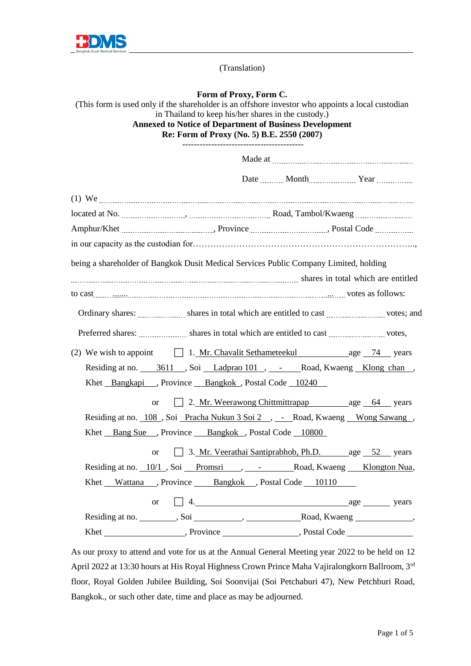

(Translation)

## **Form of Proxy, Form C.**

(This form is used only if the shareholder is an offshore investor who appoints a local custodian in Thailand to keep his/her shares in the custody.) **Annexed to Notice of Department of Business Development Re: Form of Proxy (No. 5) B.E. 2550 (2007)** ------------------------------------------

|                                                                                                    |                                                   | Date Month Year |  |  |
|----------------------------------------------------------------------------------------------------|---------------------------------------------------|-----------------|--|--|
|                                                                                                    |                                                   |                 |  |  |
|                                                                                                    |                                                   |                 |  |  |
|                                                                                                    |                                                   |                 |  |  |
|                                                                                                    |                                                   |                 |  |  |
| being a shareholder of Bangkok Dusit Medical Services Public Company Limited, holding              |                                                   |                 |  |  |
|                                                                                                    |                                                   |                 |  |  |
|                                                                                                    |                                                   |                 |  |  |
|                                                                                                    |                                                   |                 |  |  |
| Preferred shares: <i>mmmmmmm</i> shares in total which are entitled to cast <i>mmmmmmmm</i> votes, |                                                   |                 |  |  |
| (2) We wish to appoint $\Box$ 1. Mr. Chavalit Sethameteekul age $\Box$ 14 years                    |                                                   |                 |  |  |
| Residing at no. 3611, Soi Ladprao 101, - Road, Kwaeng Klong chan,                                  |                                                   |                 |  |  |
| Khet Bangkapi, Province Bangkok, Postal Code 10240                                                 |                                                   |                 |  |  |
| $\alpha$                                                                                           | 2. Mr. Weerawong Chittmittrapap age 64 years      |                 |  |  |
| Residing at no. 108, Soi Pracha Nukun 3 Soi 2, - Road, Kwaeng Wong Sawang,                         |                                                   |                 |  |  |
| Khet Bang Sue , Province Bangkok , Postal Code 10800                                               |                                                   |                 |  |  |
| <sub>or</sub>                                                                                      | 3. Mr. Veerathai Santiprabhob, Ph.D. age 52 years |                 |  |  |
| Residing at no. 10/1, Soi Promsri , - Road, Kwaeng Klongton Nua,                                   |                                                   |                 |  |  |
| Khet Wattana , Province Bangkok , Postal Code 10110                                                |                                                   |                 |  |  |
| <b>or</b>                                                                                          | $\Box$ 4. $\Box$ age $\Box$ years                 |                 |  |  |
|                                                                                                    |                                                   |                 |  |  |
|                                                                                                    |                                                   |                 |  |  |

As our proxy to attend and vote for us at the Annual General Meeting year 2022 to be held on 12 April 2022 at 13:30 hours at His Royal Highness Crown Prince Maha Vajiralongkorn Ballroom, 3rd floor, Royal Golden Jubilee Building, Soi Soonvijai (Soi Petchaburi 47), New Petchburi Road, Bangkok., or such other date, time and place as may be adjourned.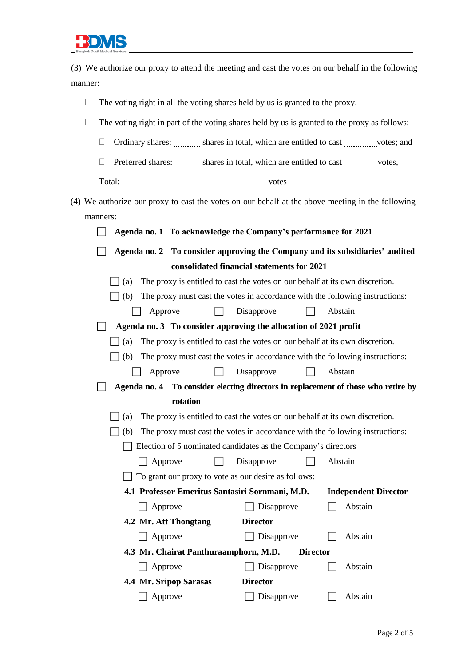

(3) We authorize our proxy to attend the meeting and cast the votes on our behalf in the following manner:

| The voting right in all the voting shares held by us is granted to the proxy.<br>Ц                                           |  |  |  |  |  |  |
|------------------------------------------------------------------------------------------------------------------------------|--|--|--|--|--|--|
| The voting right in part of the voting shares held by us is granted to the proxy as follows:<br>⊔                            |  |  |  |  |  |  |
| Ordinary shares: shares in total, which are entitled to cast which are entitled to cast which are entitled to cast<br>$\Box$ |  |  |  |  |  |  |
|                                                                                                                              |  |  |  |  |  |  |
| Preferred shares: shares in total, which are entitled to cast words,<br>$\mathbf{L}$                                         |  |  |  |  |  |  |
|                                                                                                                              |  |  |  |  |  |  |
| (4) We authorize our proxy to cast the votes on our behalf at the above meeting in the following                             |  |  |  |  |  |  |
| manners:                                                                                                                     |  |  |  |  |  |  |
| Agenda no. 1 To acknowledge the Company's performance for 2021                                                               |  |  |  |  |  |  |
| Agenda no. 2 To consider approving the Company and its subsidiaries' audited                                                 |  |  |  |  |  |  |
| consolidated financial statements for 2021                                                                                   |  |  |  |  |  |  |
| The proxy is entitled to cast the votes on our behalf at its own discretion.<br>(a)                                          |  |  |  |  |  |  |
| The proxy must cast the votes in accordance with the following instructions:<br>(b)                                          |  |  |  |  |  |  |
| Disapprove<br>Abstain<br>Approve                                                                                             |  |  |  |  |  |  |
| Agenda no. 3 To consider approving the allocation of 2021 profit                                                             |  |  |  |  |  |  |
| The proxy is entitled to cast the votes on our behalf at its own discretion.<br>(a)                                          |  |  |  |  |  |  |
| The proxy must cast the votes in accordance with the following instructions:<br>(b)                                          |  |  |  |  |  |  |
| Abstain<br>Disapprove<br>Approve                                                                                             |  |  |  |  |  |  |
| Agenda no. 4 To consider electing directors in replacement of those who retire by                                            |  |  |  |  |  |  |
| rotation                                                                                                                     |  |  |  |  |  |  |
| The proxy is entitled to cast the votes on our behalf at its own discretion.<br>(a)                                          |  |  |  |  |  |  |
| The proxy must cast the votes in accordance with the following instructions:<br>(b)                                          |  |  |  |  |  |  |
| Election of 5 nominated candidates as the Company's directors                                                                |  |  |  |  |  |  |
| Disapprove<br>Abstain<br>Approve                                                                                             |  |  |  |  |  |  |
| To grant our proxy to vote as our desire as follows:                                                                         |  |  |  |  |  |  |
| 4.1 Professor Emeritus Santasiri Sornmani, M.D.<br><b>Independent Director</b>                                               |  |  |  |  |  |  |
| Disapprove<br>Abstain<br>Approve                                                                                             |  |  |  |  |  |  |
| 4.2 Mr. Att Thongtang<br><b>Director</b>                                                                                     |  |  |  |  |  |  |
| Approve<br>Disapprove<br>Abstain                                                                                             |  |  |  |  |  |  |
| 4.3 Mr. Chairat Panthuraamphorn, M.D.<br><b>Director</b>                                                                     |  |  |  |  |  |  |
| Abstain<br>Approve<br>Disapprove                                                                                             |  |  |  |  |  |  |
| 4.4 Mr. Sripop Sarasas<br><b>Director</b>                                                                                    |  |  |  |  |  |  |
| Abstain<br>Approve<br>Disapprove                                                                                             |  |  |  |  |  |  |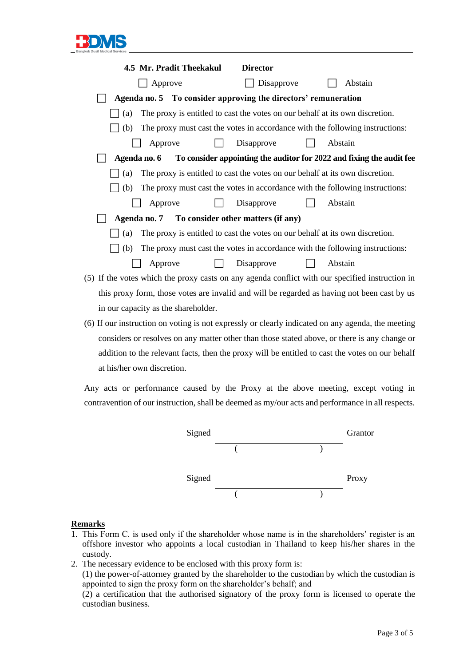

| 4.5 Mr. Pradit Theekakul                                                                        | <b>Director</b> |         |  |  |  |  |
|-------------------------------------------------------------------------------------------------|-----------------|---------|--|--|--|--|
| Approve                                                                                         | Disapprove      | Abstain |  |  |  |  |
| Agenda no. 5 To consider approving the directors' remuneration                                  |                 |         |  |  |  |  |
| The proxy is entitled to cast the votes on our behalf at its own discretion.<br>(a)             |                 |         |  |  |  |  |
| The proxy must cast the votes in accordance with the following instructions:<br>(b)             |                 |         |  |  |  |  |
| Approve                                                                                         | Disapprove      | Abstain |  |  |  |  |
| Agenda no. 6 To consider appointing the auditor for 2022 and fixing the audit fee               |                 |         |  |  |  |  |
| The proxy is entitled to cast the votes on our behalf at its own discretion.<br>(a)             |                 |         |  |  |  |  |
| The proxy must cast the votes in accordance with the following instructions:<br>(b)             |                 |         |  |  |  |  |
| Approve                                                                                         | Disapprove      | Abstain |  |  |  |  |
| Agenda no. 7 To consider other matters (if any)                                                 |                 |         |  |  |  |  |
| The proxy is entitled to cast the votes on our behalf at its own discretion.<br>(a)             |                 |         |  |  |  |  |
| The proxy must cast the votes in accordance with the following instructions:<br>(b)             |                 |         |  |  |  |  |
| Approve                                                                                         | Disapprove      | Abstain |  |  |  |  |
| (5) If the votes which the proxy casts on any agenda conflict with our specified instruction in |                 |         |  |  |  |  |
| this proxy form, those votes are invalid and will be regarded as having not been cast by us     |                 |         |  |  |  |  |
| in our capacity as the shareholder.                                                             |                 |         |  |  |  |  |

(6) If our instruction on voting is not expressly or clearly indicated on any agenda, the meeting considers or resolves on any matter other than those stated above, or there is any change or addition to the relevant facts, then the proxy will be entitled to cast the votes on our behalf at his/her own discretion.

Any acts or performance caused by the Proxy at the above meeting, except voting in contravention of our instruction, shall be deemed as my/our acts and performance in all respects.



## **Remarks**

- 1. This Form C. is used only if the shareholder whose name is in the shareholders' register is an offshore investor who appoints a local custodian in Thailand to keep his/her shares in the custody.
- 2. The necessary evidence to be enclosed with this proxy form is: (1) the power-of-attorney granted by the shareholder to the custodian by which the custodian is appointed to sign the proxy form on the shareholder's behalf; and (2) a certification that the authorised signatory of the proxy form is licensed to operate the custodian business.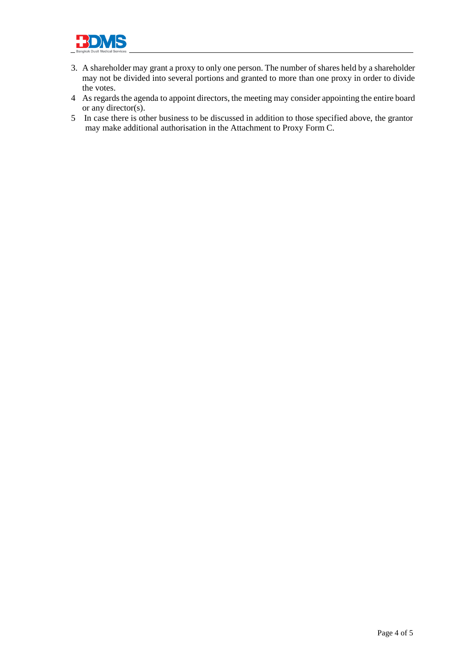

- 3. A shareholder may grant a proxy to only one person. The number of shares held by a shareholder may not be divided into several portions and granted to more than one proxy in order to divide the votes.
- 4 As regards the agenda to appoint directors, the meeting may consider appointing the entire board or any director(s).
- 5 In case there is other business to be discussed in addition to those specified above, the grantor may make additional authorisation in the Attachment to Proxy Form C.